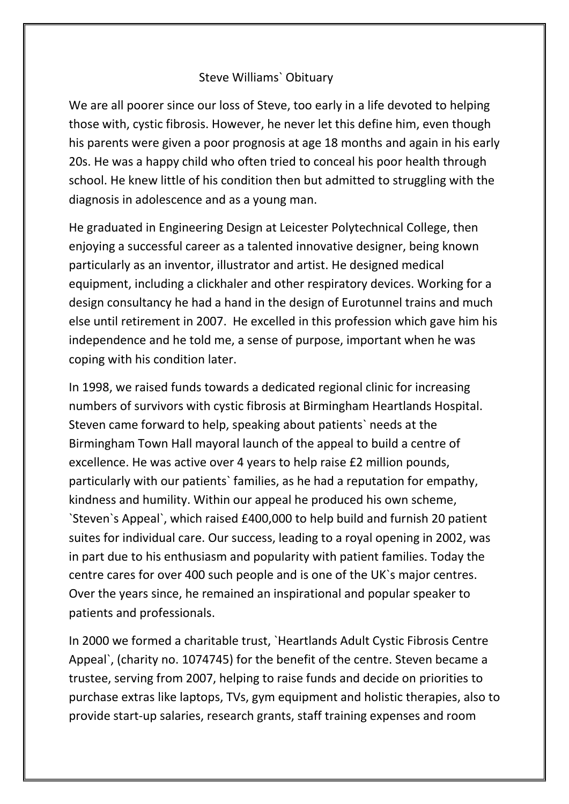## Steve Williams` Obituary

We are all poorer since our loss of Steve, too early in a life devoted to helping those with, cystic fibrosis. However, he never let this define him, even though his parents were given a poor prognosis at age 18 months and again in his early 20s. He was a happy child who often tried to conceal his poor health through school. He knew little of his condition then but admitted to struggling with the diagnosis in adolescence and as a young man.

He graduated in Engineering Design at Leicester Polytechnical College, then enjoying a successful career as a talented innovative designer, being known particularly as an inventor, illustrator and artist. He designed medical equipment, including a clickhaler and other respiratory devices. Working for a design consultancy he had a hand in the design of Eurotunnel trains and much else until retirement in 2007. He excelled in this profession which gave him his independence and he told me, a sense of purpose, important when he was coping with his condition later.

In 1998, we raised funds towards a dedicated regional clinic for increasing numbers of survivors with cystic fibrosis at Birmingham Heartlands Hospital. Steven came forward to help, speaking about patients` needs at the Birmingham Town Hall mayoral launch of the appeal to build a centre of excellence. He was active over 4 years to help raise £2 million pounds, particularly with our patients` families, as he had a reputation for empathy, kindness and humility. Within our appeal he produced his own scheme, `Steven`s Appeal`, which raised £400,000 to help build and furnish 20 patient suites for individual care. Our success, leading to a royal opening in 2002, was in part due to his enthusiasm and popularity with patient families. Today the centre cares for over 400 such people and is one of the UK`s major centres. Over the years since, he remained an inspirational and popular speaker to patients and professionals.

In 2000 we formed a charitable trust, `Heartlands Adult Cystic Fibrosis Centre Appeal`, (charity no. 1074745) for the benefit of the centre. Steven became a trustee, serving from 2007, helping to raise funds and decide on priorities to purchase extras like laptops, TVs, gym equipment and holistic therapies, also to provide start-up salaries, research grants, staff training expenses and room